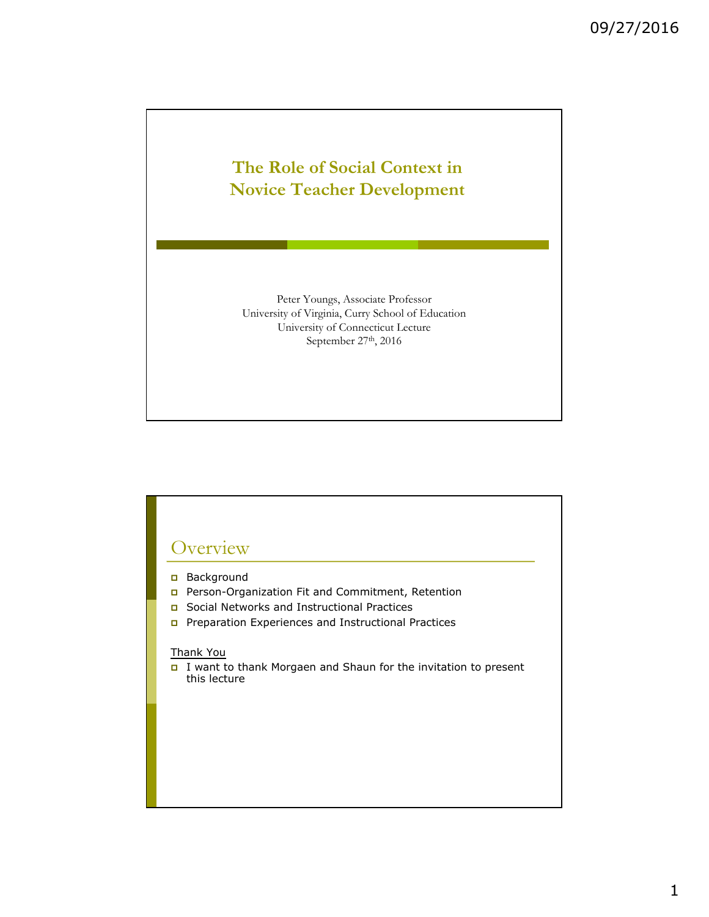# **The Role of Social Context in Novice Teacher Development**

Peter Youngs, Associate Professor University of Virginia, Curry School of Education University of Connecticut Lecture September 27<sup>th</sup>, 2016

## **Overview**

- **p** Background
- p Person-Organization Fit and Commitment, Retention
- p Social Networks and Instructional Practices
- p Preparation Experiences and Instructional Practices

#### Thank You

p I want to thank Morgaen and Shaun for the invitation to present this lecture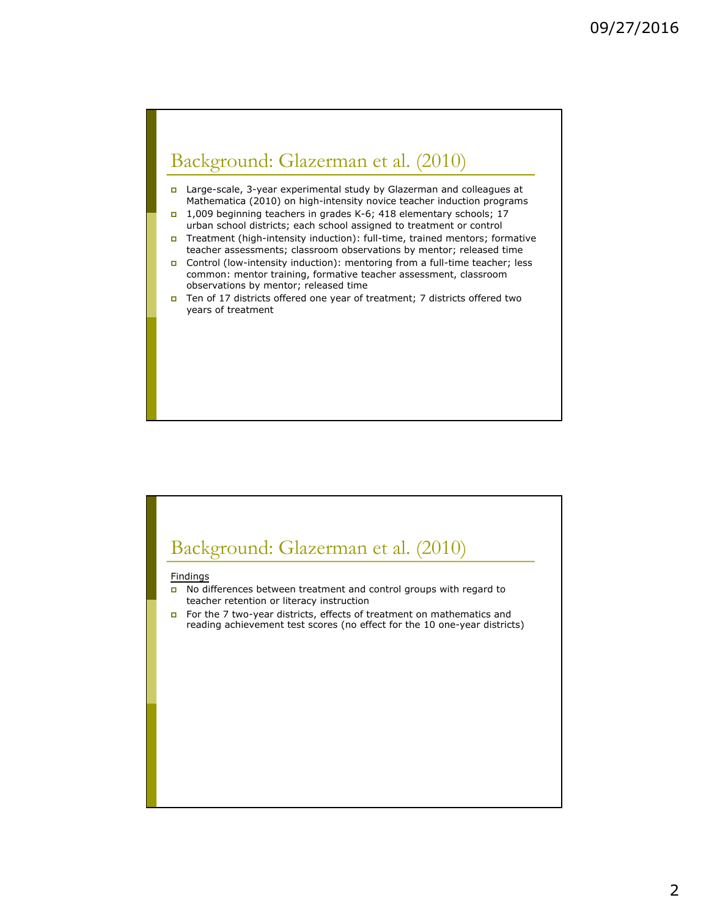# Background: Glazerman et al. (2010)

- p Large-scale, 3-year experimental study by Glazerman and colleagues at Mathematica (2010) on high-intensity novice teacher induction programs
- p 1,009 beginning teachers in grades K-6; 418 elementary schools; 17 urban school districts; each school assigned to treatment or control
- p Treatment (high-intensity induction): full-time, trained mentors; formative teacher assessments; classroom observations by mentor; released time
- p Control (low-intensity induction): mentoring from a full-time teacher; less common: mentor training, formative teacher assessment, classroom observations by mentor; released time
- p Ten of 17 districts offered one year of treatment; 7 districts offered two years of treatment

# Background: Glazerman et al. (2010)

#### **Findings**

- **p** No differences between treatment and control groups with regard to teacher retention or literacy instruction
- **p** For the 7 two-year districts, effects of treatment on mathematics and reading achievement test scores (no effect for the 10 one-year districts)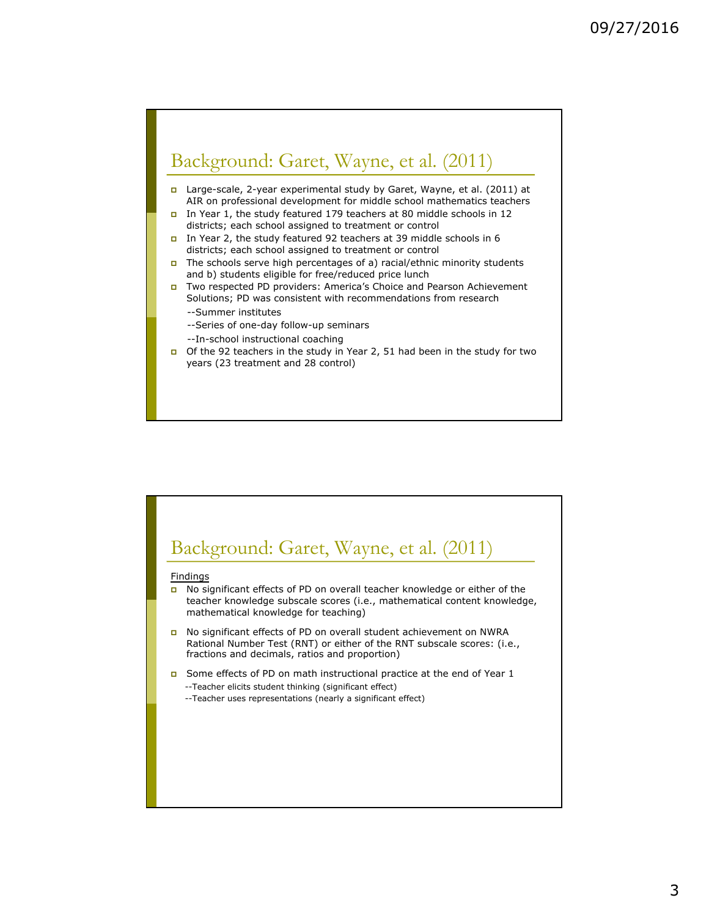# Background: Garet, Wayne, et al. (2011)

- p Large-scale, 2-year experimental study by Garet, Wayne, et al. (2011) at AIR on professional development for middle school mathematics teachers
- p In Year 1, the study featured 179 teachers at 80 middle schools in 12 districts; each school assigned to treatment or control
- p In Year 2, the study featured 92 teachers at 39 middle schools in 6 districts; each school assigned to treatment or control
- $\Box$  The schools serve high percentages of a) racial/ethnic minority students and b) students eligible for free/reduced price lunch
- p Two respected PD providers: America's Choice and Pearson Achievement Solutions; PD was consistent with recommendations from research
	- --Summer institutes
	- --Series of one-day follow-up seminars
	- --In-school instructional coaching
- p Of the 92 teachers in the study in Year 2, 51 had been in the study for two years (23 treatment and 28 control)

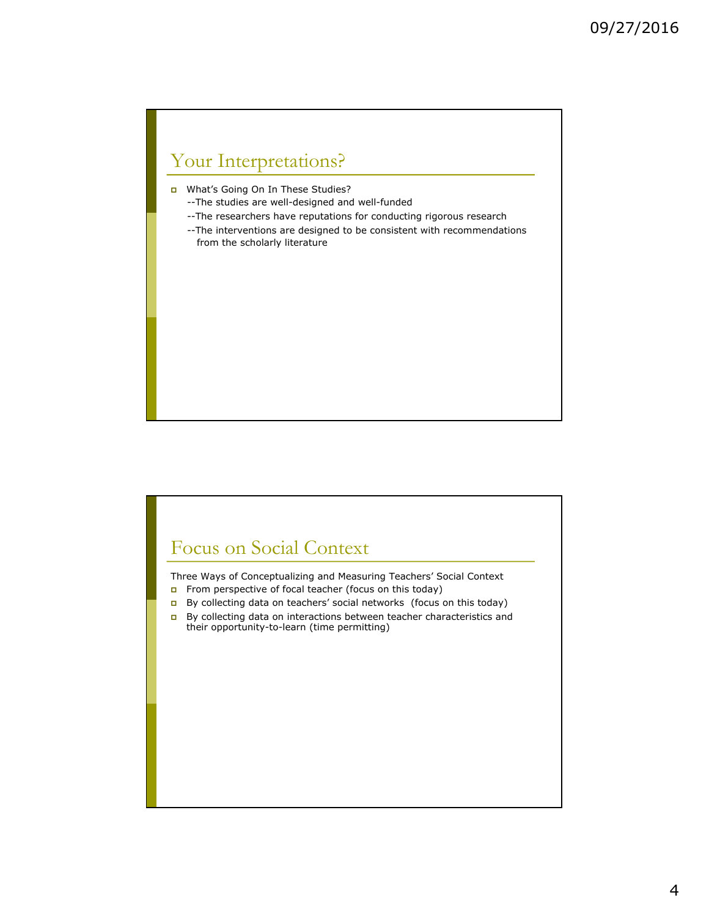# Your Interpretations?

p What's Going On In These Studies?

- --The studies are well-designed and well-funded
- --The researchers have reputations for conducting rigorous research
- --The interventions are designed to be consistent with recommendations from the scholarly literature

## Focus on Social Context

Three Ways of Conceptualizing and Measuring Teachers' Social Context From perspective of focal teacher (focus on this today)

- p By collecting data on teachers' social networks (focus on this today)
- p By collecting data on interactions between teacher characteristics and their opportunity-to-learn (time permitting)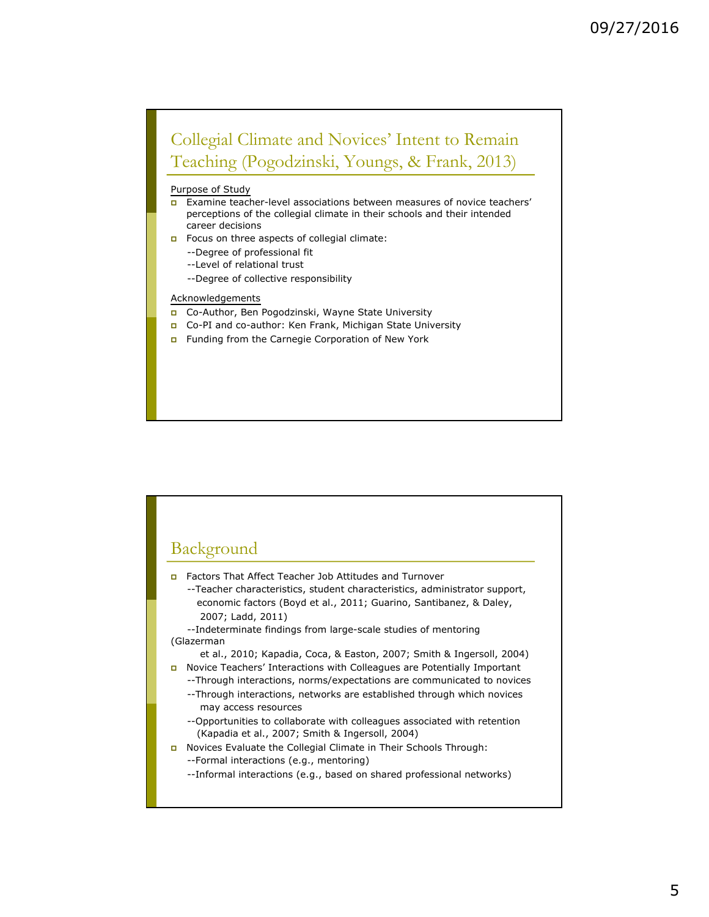## Collegial Climate and Novices' Intent to Remain Teaching (Pogodzinski, Youngs, & Frank, 2013)

#### Purpose of Study

- p Examine teacher-level associations between measures of novice teachers' perceptions of the collegial climate in their schools and their intended career decisions
- **p** Focus on three aspects of collegial climate:
	- --Degree of professional fit
	- --Level of relational trust
	- --Degree of collective responsibility

#### **Acknowledgements**

- p Co-Author, Ben Pogodzinski, Wayne State University
- p Co-PI and co-author: Ken Frank, Michigan State University
- **p** Funding from the Carnegie Corporation of New York



- p Factors That Affect Teacher Job Attitudes and Turnover
	- --Teacher characteristics, student characteristics, administrator support, economic factors (Boyd et al., 2011; Guarino, Santibanez, & Daley, 2007; Ladd, 2011)

--Indeterminate findings from large-scale studies of mentoring (Glazerman

et al., 2010; Kapadia, Coca, & Easton, 2007; Smith & Ingersoll, 2004) p Novice Teachers' Interactions with Colleagues are Potentially Important

- --Through interactions, norms/expectations are communicated to novices --Through interactions, networks are established through which novices
	- may access resources
	- --Opportunities to collaborate with colleagues associated with retention (Kapadia et al., 2007; Smith & Ingersoll, 2004)
- p Novices Evaluate the Collegial Climate in Their Schools Through: --Formal interactions (e.g., mentoring)
	- --Informal interactions (e.g., based on shared professional networks)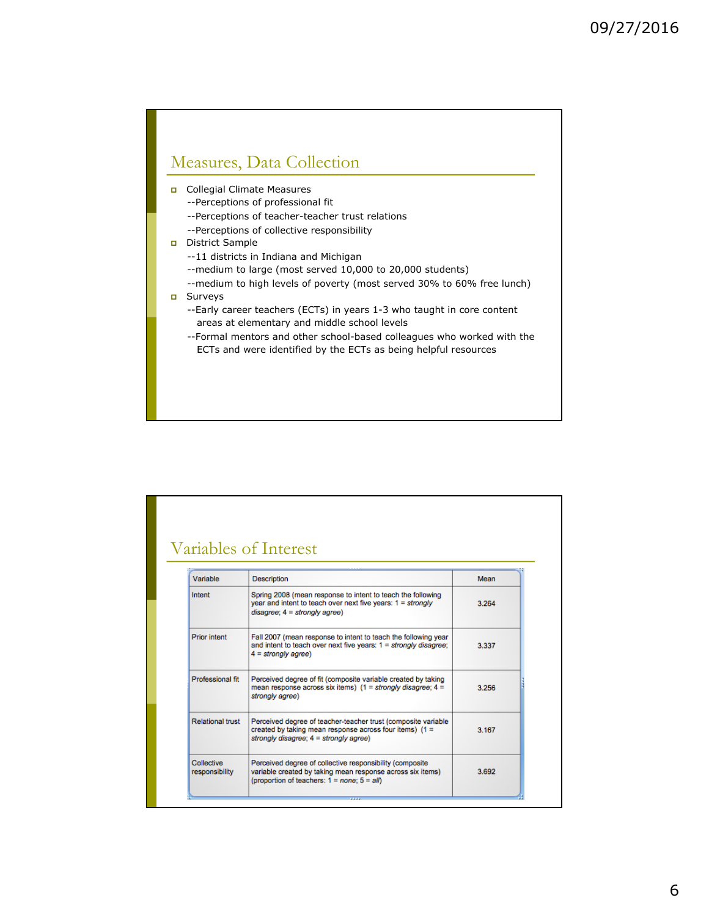## Measures, Data Collection

- p Collegial Climate Measures
	- --Perceptions of professional fit
	- --Perceptions of teacher-teacher trust relations
	- --Perceptions of collective responsibility
- p District Sample
	- --11 districts in Indiana and Michigan
	- --medium to large (most served 10,000 to 20,000 students)
	- --medium to high levels of poverty (most served 30% to 60% free lunch)
- p Surveys
	- --Early career teachers (ECTs) in years 1-3 who taught in core content areas at elementary and middle school levels
	- --Formal mentors and other school-based colleagues who worked with the ECTs and were identified by the ECTs as being helpful resources

### Variables of Interest

| Variable                     | Description                                                                                                                                                                 | Mean  |  |  |
|------------------------------|-----------------------------------------------------------------------------------------------------------------------------------------------------------------------------|-------|--|--|
| Intent                       | Spring 2008 (mean response to intent to teach the following<br>year and intent to teach over next five years: $1 = \frac{strongly}{}$<br>$disagree: 4 = strongly agree)$    |       |  |  |
| <b>Prior intent</b>          | Fall 2007 (mean response to intent to teach the following year<br>and intent to teach over next five years: $1 =$ strongly disagree;<br>$4 = strongly agree$                | 3.337 |  |  |
| Professional fit             | Perceived degree of fit (composite variable created by taking<br>mean response across six items) (1 = strongly disagree; 4 =<br>strongly agree)                             |       |  |  |
| <b>Relational trust</b>      | Perceived degree of teacher-teacher trust (composite variable<br>created by taking mean response across four items) $(1 =$<br>strongly disagree: 4 = strongly agree)        |       |  |  |
| Collective<br>responsibility | Perceived degree of collective responsibility (composite<br>variable created by taking mean response across six items)<br>(proportion of teachers: $1 = none$ ; $5 = all$ ) |       |  |  |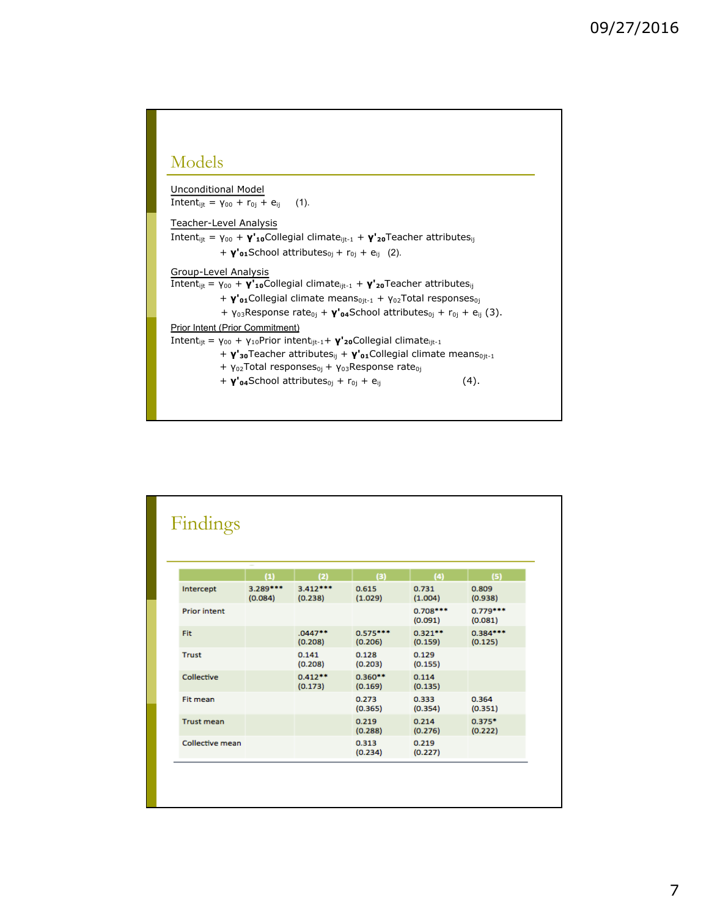### Models

Unconditional Model Intent<sub>ijt</sub> = γ<sub>00</sub> + r<sub>0j</sub> + e<sub>ij</sub> (1).

Teacher-Level Analysis

Intent<sub>ijt</sub> = γ<sub>00</sub> + **γ'<sub>10</sub>**Collegial climate<sub>ijt-1</sub> + **γ'<sub>20</sub>**Teacher attributes<sub>ij</sub> + **γ'**<sub>01</sub>School attributes<sub>0j</sub> + r<sub>0j</sub> + e<sub>ij</sub> (2).

Group-Level Analysis

Intentijt = γ<sup>00</sup> + **γ'10**Collegial climateijt-1 + **γ'20**Teacher attributesij

- + **γ'**<sup>o</sup>1Collegial climate means<sub>0jt-1</sub> + γ<sub>02</sub>Total responses<sub>0j</sub>
- + γ<sub>03</sub>Response rate<sub>0j</sub> + **γ'<sub>04</sub>School attributes**<sub>0j</sub> + r<sub>0j</sub> + e<sub>ij</sub> (3).

Prior Intent (Prior Commitment)

Intent<sub>ijt</sub> = γ<sub>00</sub> + γ<sub>10</sub>Prior intent<sub>ijt-1</sub> + γ'<sub>20</sub>Collegial climate<sub>ijt-1</sub>

- + **γ'**<sub>30</sub>Teacher attributes<sub>ij</sub> + **γ'**<sub>01</sub>Collegial climate means<sub>0jt-1</sub>
- +  $γ_{02}$ Total responses $_{0j}$  +  $γ_{03}$ Response rate $_{0j}$
- $+ \gamma'_{04}$ School attributes<sub>0j</sub> + r<sub>0j</sub> + e<sub>ij</sub> (4).

| Findings            |                     |                       |                       |                       |                       |
|---------------------|---------------------|-----------------------|-----------------------|-----------------------|-----------------------|
|                     |                     |                       |                       |                       |                       |
|                     | (1)                 | (2)                   | $(3)$                 | (4)                   | (5)                   |
| Intercept           | 3.289***<br>(0.084) | $3.412***$<br>(0.238) | 0.615<br>(1.029)      | 0.731<br>(1.004)      | 0.809<br>(0.938)      |
| <b>Prior intent</b> |                     |                       |                       | $0.708***$<br>(0.091) | $0.779***$<br>(0.081) |
| Fit                 |                     | $.0447**$<br>(0.208)  | $0.575***$<br>(0.206) | $0.321**$<br>(0.159)  | $0.384***$<br>(0.125) |
| <b>Trust</b>        |                     | 0.141<br>(0.208)      | 0.128<br>(0.203)      | 0.129<br>(0.155)      |                       |
| Collective          |                     | $0.412**$<br>(0.173)  | $0.360**$<br>(0.169)  | 0.114<br>(0.135)      |                       |
| Fit mean            |                     |                       | 0.273<br>(0.365)      | 0.333<br>(0.354)      | 0.364<br>(0.351)      |
| <b>Trust mean</b>   |                     |                       | 0.219<br>(0.288)      | 0.214<br>(0.276)      | $0.375*$<br>(0.222)   |
| Collective mean     |                     |                       | 0.313<br>(0.234)      | 0.219<br>(0.227)      |                       |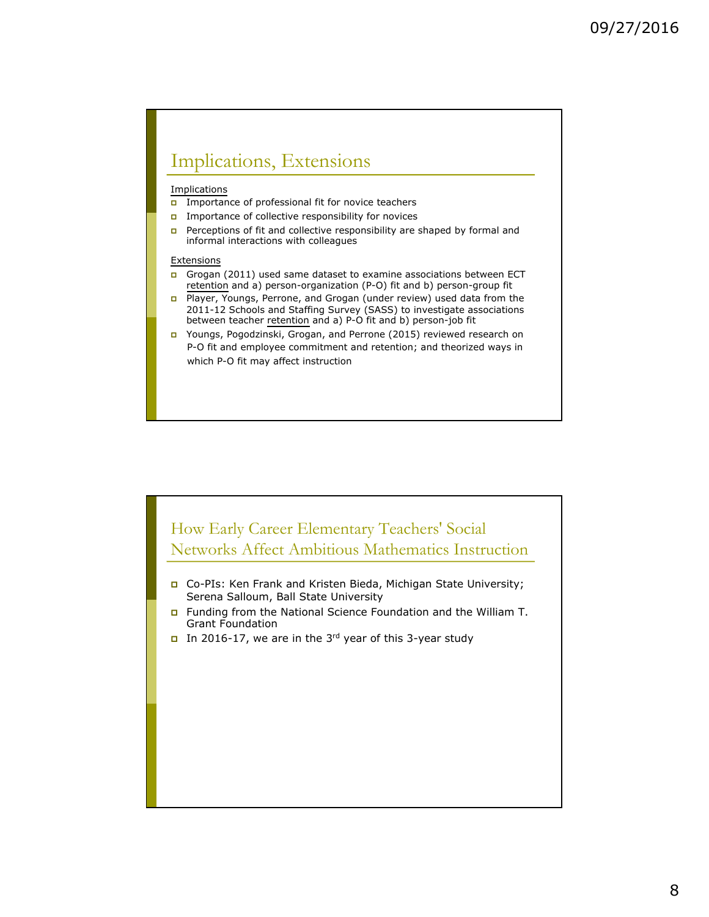## Implications, Extensions

#### **Implications**

- **p** Importance of professional fit for novice teachers
- **p** Importance of collective responsibility for novices
- **p** Perceptions of fit and collective responsibility are shaped by formal and informal interactions with colleagues

#### **Extensions**

- p Grogan (2011) used same dataset to examine associations between ECT retention and a) person-organization (P-O) fit and b) person-group fit
- p Player, Youngs, Perrone, and Grogan (under review) used data from the 2011-12 Schools and Staffing Survey (SASS) to investigate associations between teacher retention and a) P-O fit and b) person-job fit
- p Youngs, Pogodzinski, Grogan, and Perrone (2015) reviewed research on P-O fit and employee commitment and retention; and theorized ways in which P-O fit may affect instruction

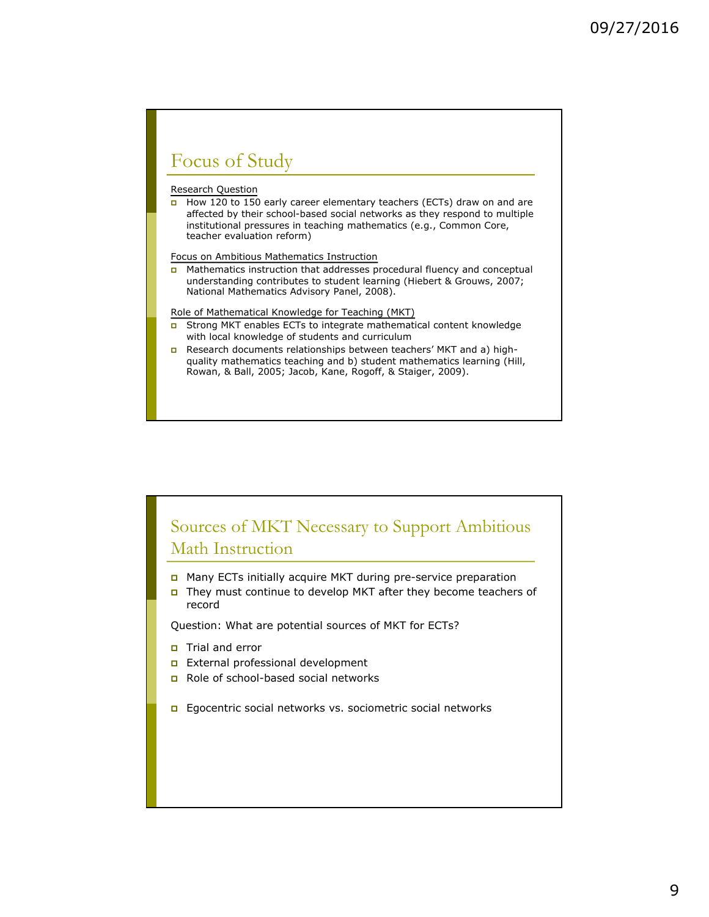## Focus of Study

#### Research Question

 $\overline{p}$  How 120 to 150 early career elementary teachers (ECTs) draw on and are affected by their school-based social networks as they respond to multiple institutional pressures in teaching mathematics (e.g., Common Core, teacher evaluation reform)

Focus on Ambitious Mathematics Instruction

p Mathematics instruction that addresses procedural fluency and conceptual understanding contributes to student learning (Hiebert & Grouws, 2007; National Mathematics Advisory Panel, 2008).

Role of Mathematical Knowledge for Teaching (MKT)

- p Strong MKT enables ECTs to integrate mathematical content knowledge with local knowledge of students and curriculum
- p Research documents relationships between teachers' MKT and a) highquality mathematics teaching and b) student mathematics learning (Hill, Rowan, & Ball, 2005; Jacob, Kane, Rogoff, & Staiger, 2009).

### Sources of MKT Necessary to Support Ambitious Math Instruction

- p Many ECTs initially acquire MKT during pre-service preparation
- **p** They must continue to develop MKT after they become teachers of record

Question: What are potential sources of MKT for ECTs?

- **p** Trial and error
- p External professional development
- p Role of school-based social networks
- **p** Egocentric social networks vs. sociometric social networks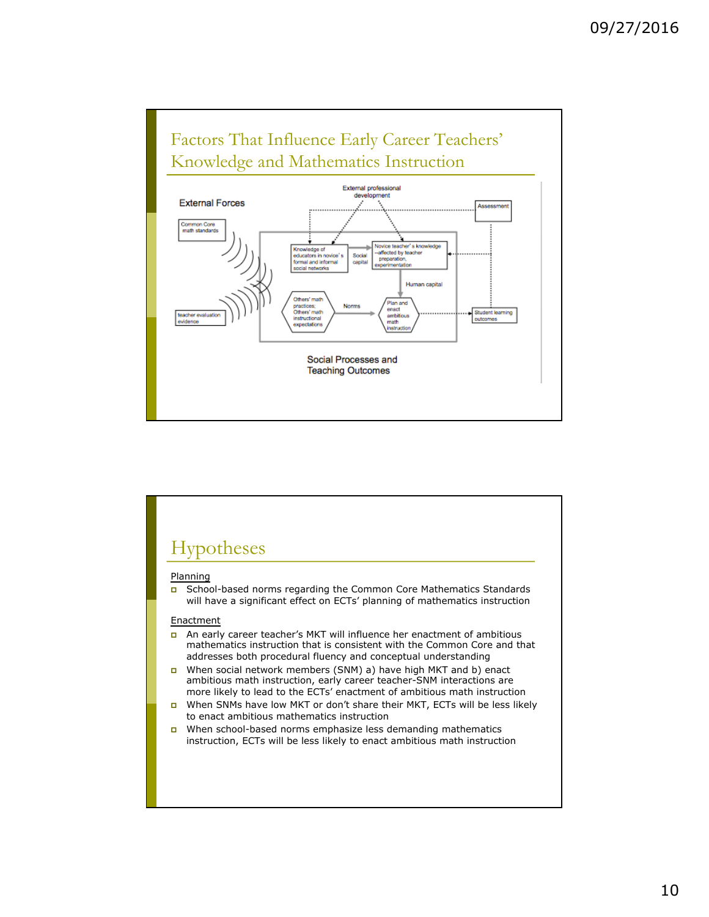

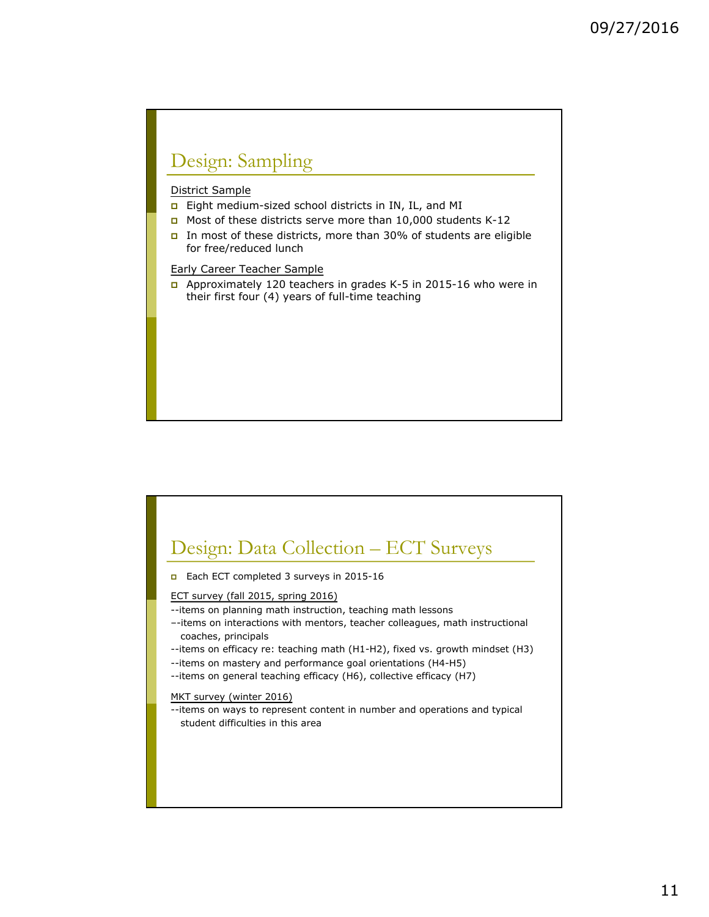# Design: Sampling

### District Sample

- **p** Eight medium-sized school districts in IN, IL, and MI
- p Most of these districts serve more than 10,000 students K-12
- **p** In most of these districts, more than 30% of students are eligible for free/reduced lunch

Early Career Teacher Sample

p Approximately 120 teachers in grades K-5 in 2015-16 who were in their first four (4) years of full-time teaching

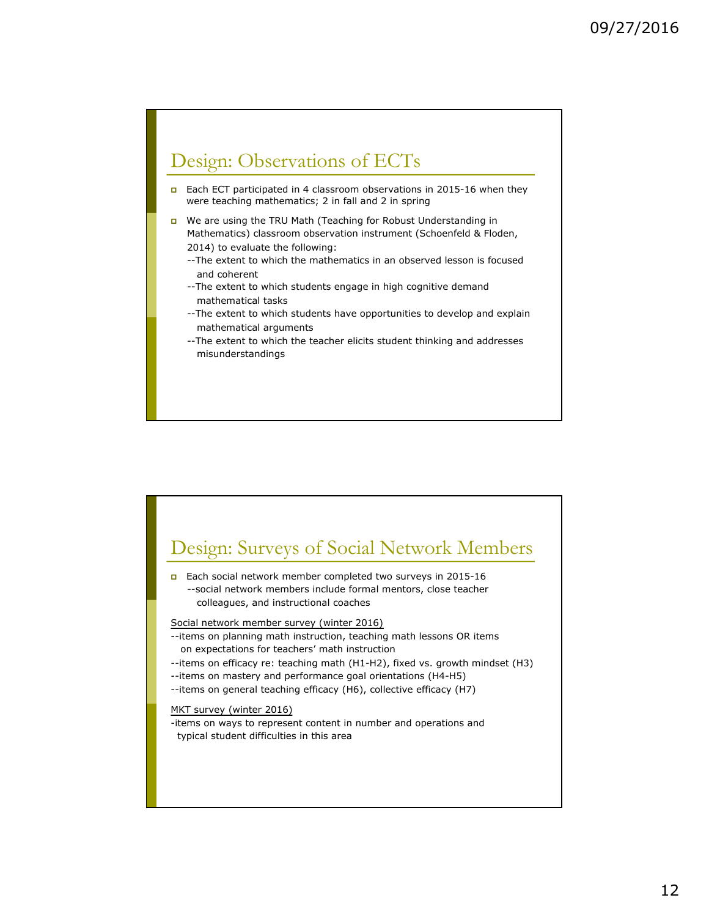## Design: Observations of ECTs

- **p** Each ECT participated in 4 classroom observations in 2015-16 when they were teaching mathematics; 2 in fall and 2 in spring
- p We are using the TRU Math (Teaching for Robust Understanding in Mathematics) classroom observation instrument (Schoenfeld & Floden, 2014) to evaluate the following:
	- --The extent to which the mathematics in an observed lesson is focused and coherent
	- --The extent to which students engage in high cognitive demand mathematical tasks
	- --The extent to which students have opportunities to develop and explain mathematical arguments
	- --The extent to which the teacher elicits student thinking and addresses misunderstandings

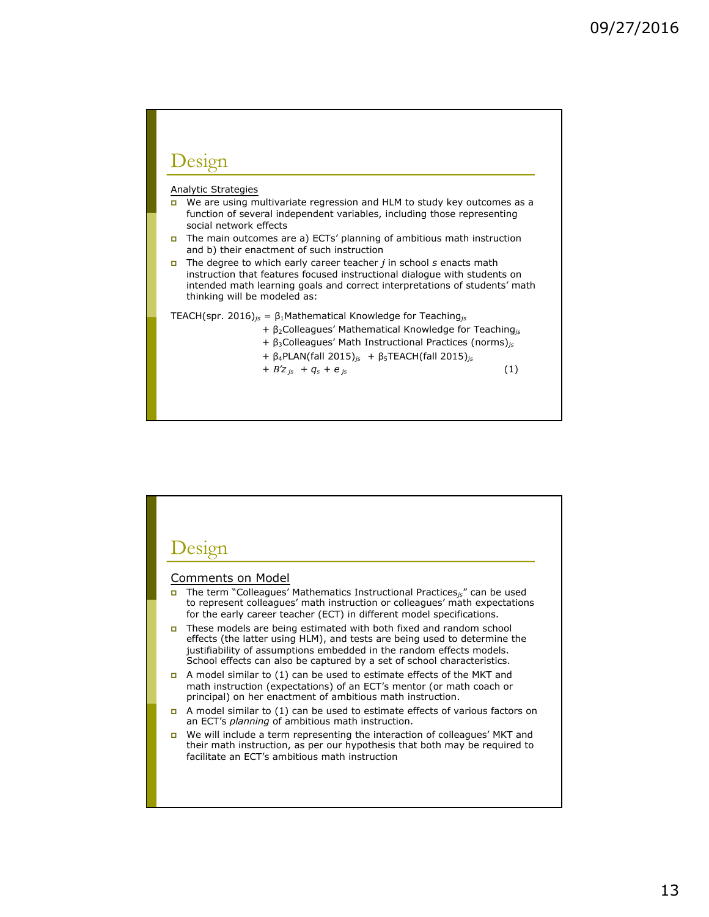### Design

#### Analytic Strategies

- **p** We are using multivariate regression and HLM to study key outcomes as a function of several independent variables, including those representing social network effects
- p The main outcomes are a) ECTs' planning of ambitious math instruction and b) their enactment of such instruction
- p The degree to which early career teacher *j* in school *s* enacts math instruction that features focused instructional dialogue with students on intended math learning goals and correct interpretations of students' math thinking will be modeled as:

TEACH(spr. 2016)*js* = β1Mathematical Knowledge for Teaching*js*

- *+* β2Colleagues' Mathematical Knowledge for Teaching*js*
- *+* β3Colleagues' Math Instructional Practices (norms)*js*
- *+* β4PLAN(fall 2015)*js +* β5TEACH(fall 2015)*js*
- $+ B'z_{js} + q_s + e_{js}$  (1)

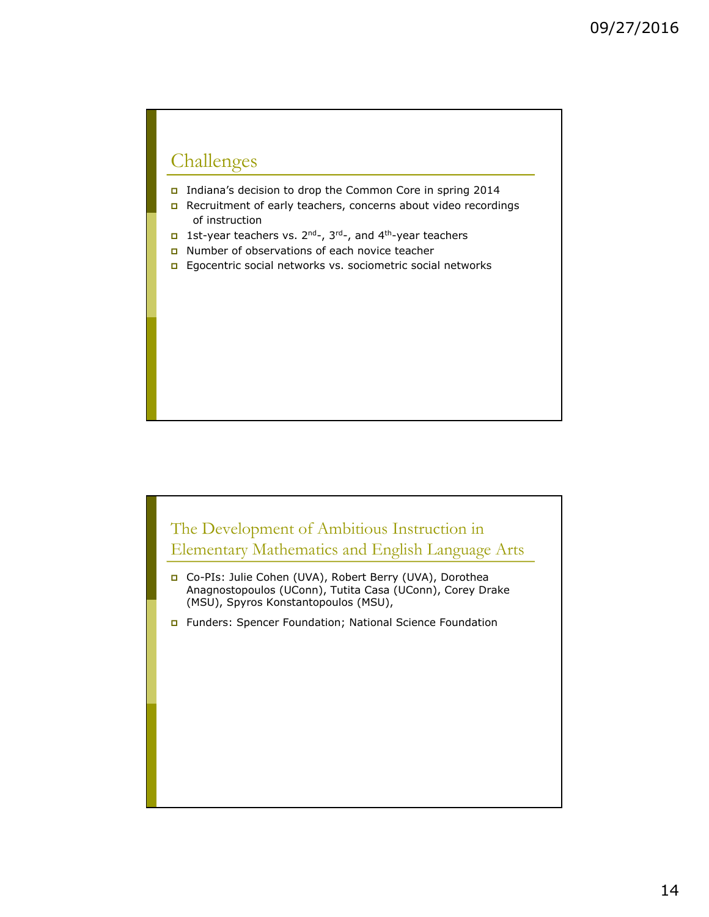## Challenges

- p Indiana's decision to drop the Common Core in spring 2014
- p Recruitment of early teachers, concerns about video recordings of instruction
- p 1st-year teachers vs. 2nd-, 3rd-, and 4th-year teachers
- p Number of observations of each novice teacher
- **p** Egocentric social networks vs. sociometric social networks



p Funders: Spencer Foundation; National Science Foundation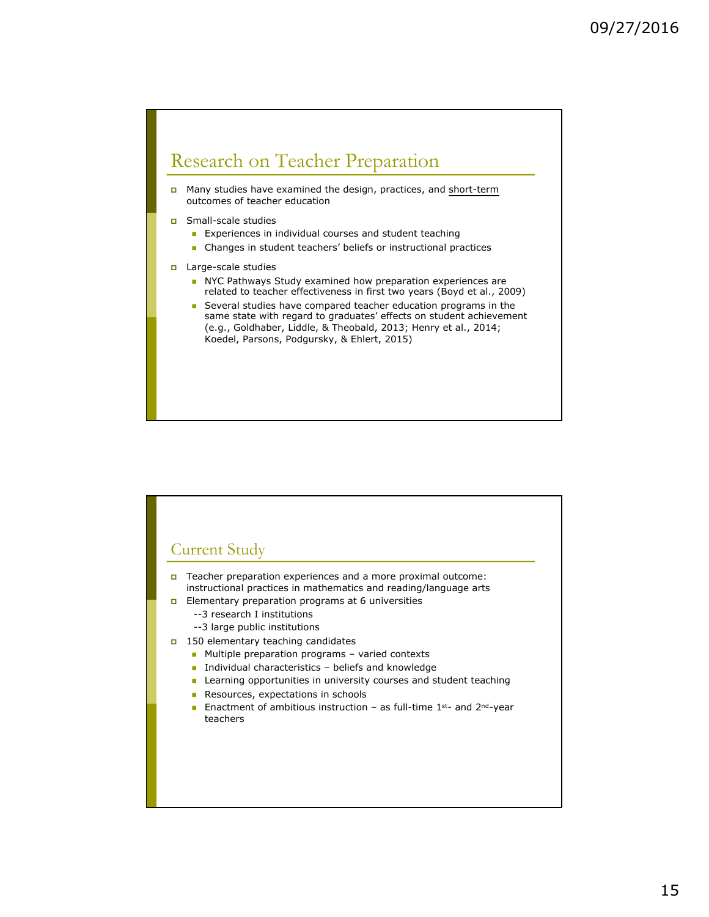## Research on Teacher Preparation

p Many studies have examined the design, practices, and short-term outcomes of teacher education

- p Small-scale studies
	- **n** Experiences in individual courses and student teaching
	- **n** Changes in student teachers' beliefs or instructional practices
- p Large-scale studies
	- n NYC Pathways Study examined how preparation experiences are related to teacher effectiveness in first two years (Boyd et al., 2009)
	- **n** Several studies have compared teacher education programs in the same state with regard to graduates' effects on student achievement (e.g., Goldhaber, Liddle, & Theobald, 2013; Henry et al., 2014; Koedel, Parsons, Podgursky, & Ehlert, 2015)

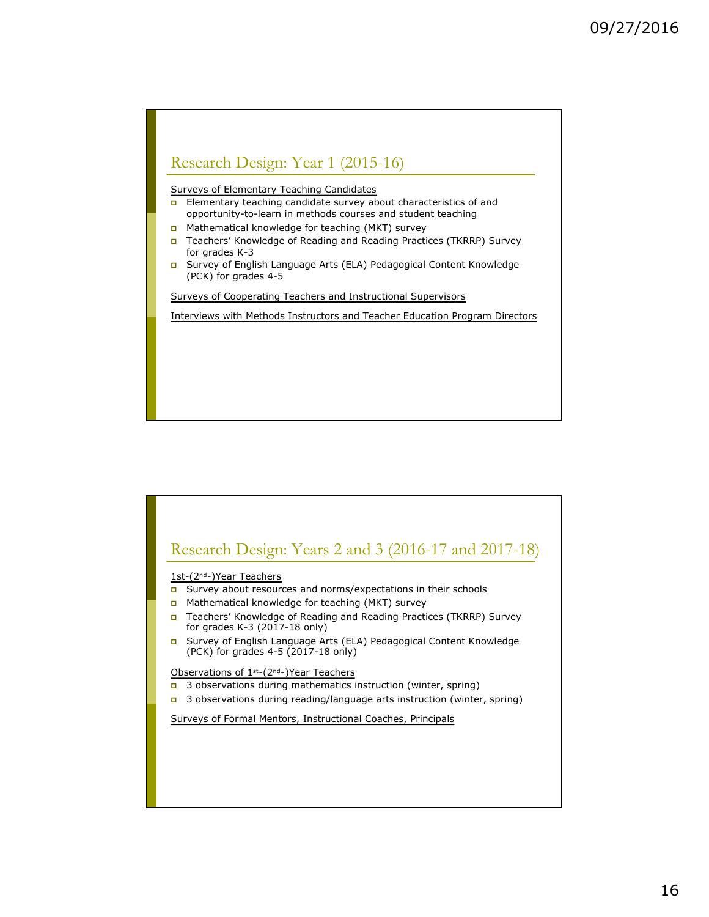

Surveys of Elementary Teaching Candidates

- **p** Elementary teaching candidate survey about characteristics of and opportunity-to-learn in methods courses and student teaching
- p Mathematical knowledge for teaching (MKT) survey
- p Teachers' Knowledge of Reading and Reading Practices (TKRRP) Survey for grades K-3
- p Survey of English Language Arts (ELA) Pedagogical Content Knowledge (PCK) for grades 4-5

Surveys of Cooperating Teachers and Instructional Supervisors

Interviews with Methods Instructors and Teacher Education Program Directors

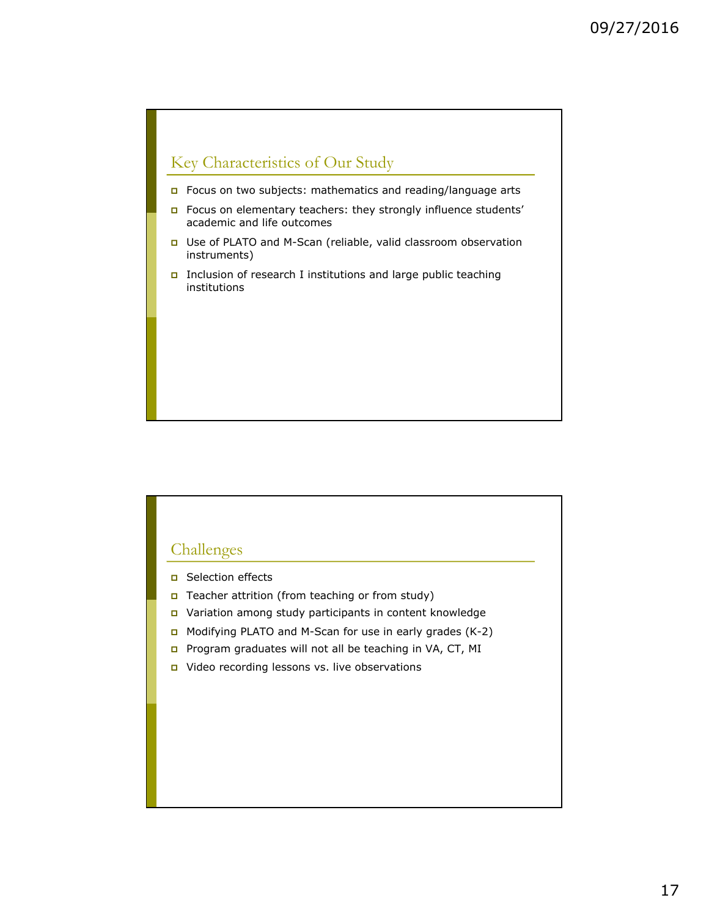## Key Characteristics of Our Study

- p Focus on two subjects: mathematics and reading/language arts
- p Focus on elementary teachers: they strongly influence students' academic and life outcomes
- p Use of PLATO and M-Scan (reliable, valid classroom observation instruments)
- **p** Inclusion of research I institutions and large public teaching institutions

### Challenges

- **p** Selection effects
- **p** Teacher attrition (from teaching or from study)
- p Variation among study participants in content knowledge
- **p** Modifying PLATO and M-Scan for use in early grades  $(K-2)$
- p Program graduates will not all be teaching in VA, CT, MI
- p Video recording lessons vs. live observations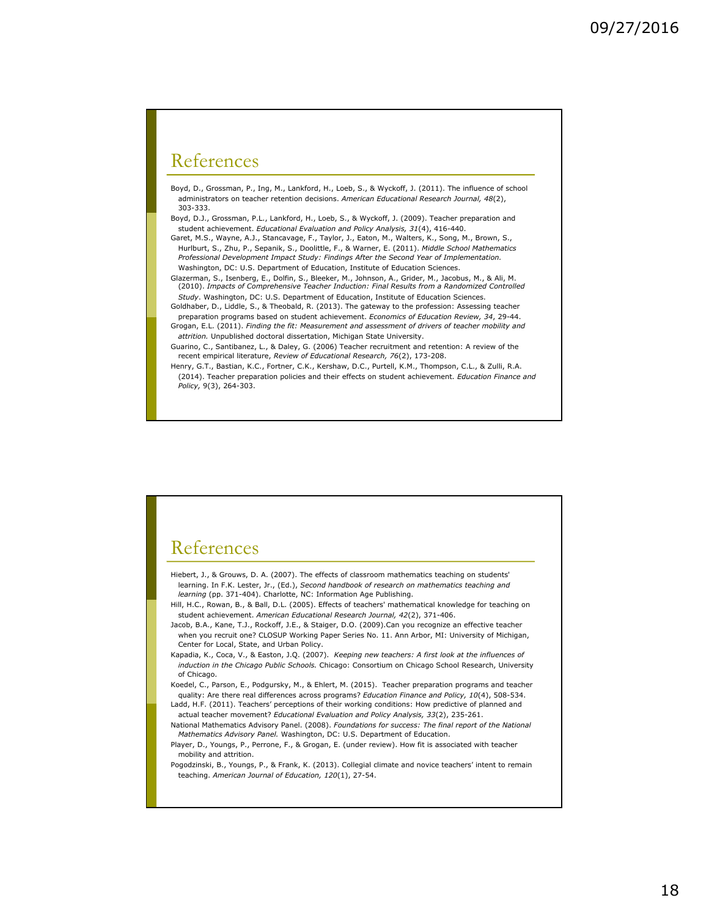### References

Boyd, D., Grossman, P., Ing, M., Lankford, H., Loeb, S., & Wyckoff, J. (2011). The influence of school administrators on teacher retention decisions. *American Educational Research Journal, 48*(2), 303-333.

Boyd, D.J., Grossman, P.L., Lankford, H., Loeb, S., & Wyckoff, J. (2009). Teacher preparation and student achievement. *Educational Evaluation and Policy Analysis, 31*(4), 416-440.

Garet, M.S., Wayne, A.J., Stancavage, F., Taylor, J., Eaton, M., Walters, K., Song, M., Brown, S., Hurlburt, S., Zhu, P., Sepanik, S., Doolittle, F., & Warner, E. (2011). *Middle School Mathematics Professional Development Impact Study: Findings After the Second Year of Implementation.*  Washington, DC: U.S. Department of Education, Institute of Education Sciences.

Glazerman, S., Isenberg, E., Dolfin, S., Bleeker, M., Johnson, A., Grider, M., Jacobus, M., & Ali, M. (2010). *Impacts of Comprehensive Teacher Induction: Final Results from a Randomized Controlled Study*. Washington, DC: U.S. Department of Education, Institute of Education Sciences.

- Goldhaber, D., Liddle, S., & Theobald, R. (2013). The gateway to the profession: Assessing teacher preparation programs based on student achievement. *Economics of Education Review, 34*, 29-44. Grogan, E.L. (2011). *Finding the fit: Measurement and assessment of drivers of teacher mobility and*
- *attrition.* Unpublished doctoral dissertation, Michigan State University. Guarino, C., Santibanez, L., & Daley, G. (2006) Teacher recruitment and retention: A review of the
- recent empirical literature, *Review of Educational Research, 76*(2), 173-208. Henry, G.T., Bastian, K.C., Fortner, C.K., Kershaw, D.C., Purtell, K.M., Thompson, C.L., & Zulli, R.A. (2014). Teacher preparation policies and their effects on student achievement. *Education Finance and Policy,* 9(3), 264-303.

### References

Hiebert, J., & Grouws, D. A. (2007). The effects of classroom mathematics teaching on students' learning. In F.K. Lester, Jr., (Ed.), *Second handbook of research on mathematics teaching and learning* (pp. 371-404). Charlotte, NC: Information Age Publishing.

- Hill, H.C., Rowan, B., & Ball, D.L. (2005). Effects of teachers' mathematical knowledge for teaching on student achievement. *American Educational Research Journal, 42*(2), 371-406.
- Jacob, B.A., Kane, T.J., Rockoff, J.E., & Staiger, D.O. (2009).Can you recognize an effective teacher when you recruit one? CLOSUP Working Paper Series No. 11. Ann Arbor, MI: University of Michigan, Center for Local, State, and Urban Policy.
- Kapadia, K., Coca, V., & Easton, J.Q. (2007). *Keeping new teachers: A first look at the influences of induction in the Chicago Public Schools.* Chicago: Consortium on Chicago School Research, University of Chicago.
- Koedel, C., Parson, E., Podgursky, M., & Ehlert, M. (2015). Teacher preparation programs and teacher quality: Are there real differences across programs? *Education Finance and Policy, 10*(4), 508-534. Ladd, H.F. (2011). Teachers' perceptions of their working conditions: How predictive of planned and
- actual teacher movement? *Educational Evaluation and Policy Analysis, 33*(2), 235-261. National Mathematics Advisory Panel. (2008). *Foundations for success: The final report of the National*
- *Mathematics Advisory Panel.* Washington, DC: U.S. Department of Education. Player, D., Youngs, P., Perrone, F., & Grogan, E. (under review). How fit is associated with teacher
- mobility and attrition.
- Pogodzinski, B., Youngs, P., & Frank, K. (2013). Collegial climate and novice teachers' intent to remain teaching. *American Journal of Education, 120*(1), 27-54.